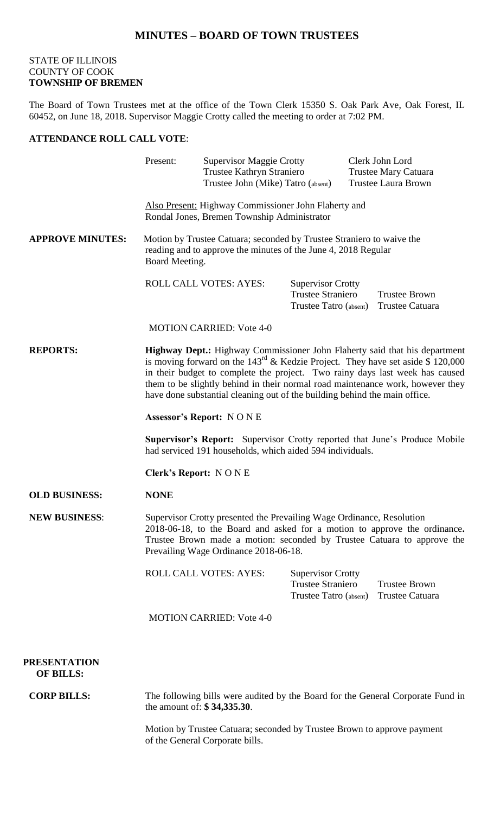## **MINUTES – BOARD OF TOWN TRUSTEES**

## STATE OF ILLINOIS COUNTY OF COOK **TOWNSHIP OF BREMEN**

The Board of Town Trustees met at the office of the Town Clerk 15350 S. Oak Park Ave, Oak Forest, IL 60452, on June 18, 2018. Supervisor Maggie Crotty called the meeting to order at 7:02 PM.

## **ATTENDANCE ROLL CALL VOTE**:

|                                         | Present:                                                                                                                                                                                                                                                                                                                                                                                                                  |                                 | <b>Supervisor Maggie Crotty</b><br>Trustee Kathryn Straniero<br>Trustee John (Mike) Tatro (absent) |  | Clerk John Lord<br><b>Trustee Mary Catuara</b><br><b>Trustee Laura Brown</b> |  |
|-----------------------------------------|---------------------------------------------------------------------------------------------------------------------------------------------------------------------------------------------------------------------------------------------------------------------------------------------------------------------------------------------------------------------------------------------------------------------------|---------------------------------|----------------------------------------------------------------------------------------------------|--|------------------------------------------------------------------------------|--|
|                                         | Also Present: Highway Commissioner John Flaherty and<br>Rondal Jones, Bremen Township Administrator                                                                                                                                                                                                                                                                                                                       |                                 |                                                                                                    |  |                                                                              |  |
| <b>APPROVE MINUTES:</b>                 | Motion by Trustee Catuara; seconded by Trustee Straniero to waive the<br>reading and to approve the minutes of the June 4, 2018 Regular<br>Board Meeting.                                                                                                                                                                                                                                                                 |                                 |                                                                                                    |  |                                                                              |  |
|                                         |                                                                                                                                                                                                                                                                                                                                                                                                                           | <b>ROLL CALL VOTES: AYES:</b>   | <b>Supervisor Crotty</b><br><b>Trustee Straniero</b><br>Trustee Tatro (absent)                     |  | <b>Trustee Brown</b><br>Trustee Catuara                                      |  |
|                                         |                                                                                                                                                                                                                                                                                                                                                                                                                           | <b>MOTION CARRIED: Vote 4-0</b> |                                                                                                    |  |                                                                              |  |
| <b>REPORTS:</b>                         | Highway Dept.: Highway Commissioner John Flaherty said that his department<br>is moving forward on the $143^{\text{rd}}$ & Kedzie Project. They have set aside \$ 120,000<br>in their budget to complete the project. Two rainy days last week has caused<br>them to be slightly behind in their normal road maintenance work, however they<br>have done substantial cleaning out of the building behind the main office. |                                 |                                                                                                    |  |                                                                              |  |
|                                         | <b>Assessor's Report: NONE</b>                                                                                                                                                                                                                                                                                                                                                                                            |                                 |                                                                                                    |  |                                                                              |  |
|                                         | <b>Supervisor's Report:</b> Supervisor Crotty reported that June's Produce Mobile<br>had serviced 191 households, which aided 594 individuals.                                                                                                                                                                                                                                                                            |                                 |                                                                                                    |  |                                                                              |  |
|                                         | <b>Clerk's Report: NONE</b>                                                                                                                                                                                                                                                                                                                                                                                               |                                 |                                                                                                    |  |                                                                              |  |
| <b>OLD BUSINESS:</b>                    | <b>NONE</b>                                                                                                                                                                                                                                                                                                                                                                                                               |                                 |                                                                                                    |  |                                                                              |  |
| <b>NEW BUSINESS:</b>                    | Supervisor Crotty presented the Prevailing Wage Ordinance, Resolution<br>2018-06-18, to the Board and asked for a motion to approve the ordinance.<br>Trustee Brown made a motion: seconded by Trustee Catuara to approve the<br>Prevailing Wage Ordinance 2018-06-18.                                                                                                                                                    |                                 |                                                                                                    |  |                                                                              |  |
|                                         |                                                                                                                                                                                                                                                                                                                                                                                                                           | <b>ROLL CALL VOTES: AYES:</b>   | <b>Supervisor Crotty</b><br><b>Trustee Straniero</b><br>Trustee Tatro (absent)                     |  | <b>Trustee Brown</b><br><b>Trustee Catuara</b>                               |  |
|                                         | <b>MOTION CARRIED: Vote 4-0</b>                                                                                                                                                                                                                                                                                                                                                                                           |                                 |                                                                                                    |  |                                                                              |  |
| <b>PRESENTATION</b><br><b>OF BILLS:</b> |                                                                                                                                                                                                                                                                                                                                                                                                                           |                                 |                                                                                                    |  |                                                                              |  |
| <b>CORP BILLS:</b>                      | The following bills were audited by the Board for the General Corporate Fund in<br>the amount of: \$34,335.30.                                                                                                                                                                                                                                                                                                            |                                 |                                                                                                    |  |                                                                              |  |
|                                         |                                                                                                                                                                                                                                                                                                                                                                                                                           |                                 |                                                                                                    |  |                                                                              |  |

Motion by Trustee Catuara; seconded by Trustee Brown to approve payment of the General Corporate bills.